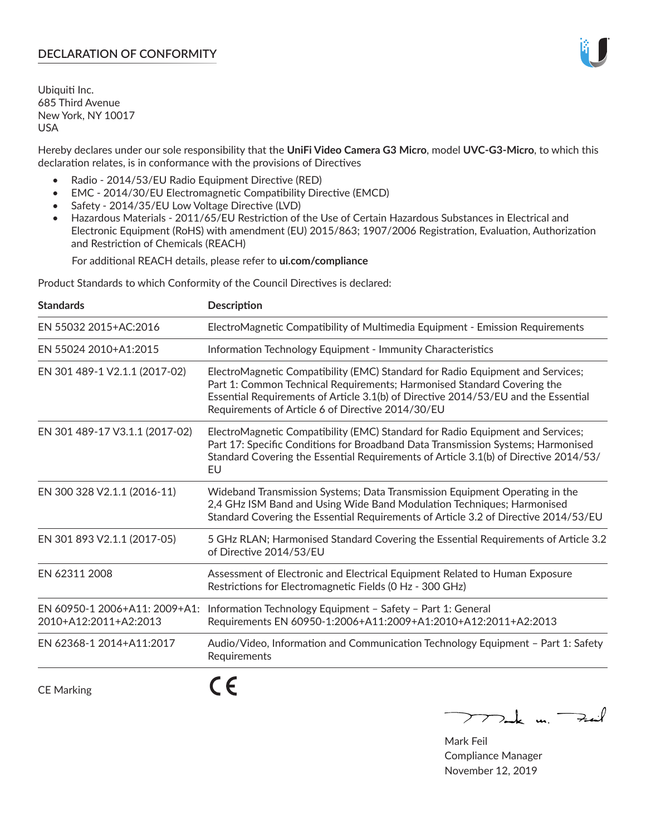# **DECLARATION OF CONFORMITY**

Ubiquiti Inc. 685 Third Avenue New York, NY 10017 USA

Hereby declares under our sole responsibility that the **UniFi Video Camera G3 Micro**, model **UVC-G3-Micro**, to which this declaration relates, is in conformance with the provisions of Directives

- Radio 2014/53/EU Radio Equipment Directive (RED)
- EMC 2014/30/EU Electromagnetic Compatibility Directive (EMCD)
- Safety 2014/35/EU Low Voltage Directive (LVD)
- Hazardous Materials 2011/65/EU Restriction of the Use of Certain Hazardous Substances in Electrical and Electronic Equipment (RoHS) with amendment (EU) 2015/863; 1907/2006 Registration, Evaluation, Authorization and Restriction of Chemicals (REACH)

For additional REACH details, please refer to **ui.com/compliance**

Product Standards to which Conformity of the Council Directives is declared:

| <b>Standards</b>                                       | <b>Description</b>                                                                                                                                                                                                                                                                                   |
|--------------------------------------------------------|------------------------------------------------------------------------------------------------------------------------------------------------------------------------------------------------------------------------------------------------------------------------------------------------------|
| EN 55032 2015+AC:2016                                  | ElectroMagnetic Compatibility of Multimedia Equipment - Emission Requirements                                                                                                                                                                                                                        |
| EN 55024 2010+A1:2015                                  | Information Technology Equipment - Immunity Characteristics                                                                                                                                                                                                                                          |
| EN 301 489-1 V2.1.1 (2017-02)                          | ElectroMagnetic Compatibility (EMC) Standard for Radio Equipment and Services;<br>Part 1: Common Technical Requirements; Harmonised Standard Covering the<br>Essential Requirements of Article 3.1(b) of Directive 2014/53/EU and the Essential<br>Requirements of Article 6 of Directive 2014/30/EU |
| EN 301 489-17 V3.1.1 (2017-02)                         | ElectroMagnetic Compatibility (EMC) Standard for Radio Equipment and Services;<br>Part 17: Specific Conditions for Broadband Data Transmission Systems; Harmonised<br>Standard Covering the Essential Requirements of Article 3.1(b) of Directive 2014/53/<br>EU                                     |
| EN 300 328 V2.1.1 (2016-11)                            | Wideband Transmission Systems; Data Transmission Equipment Operating in the<br>2,4 GHz ISM Band and Using Wide Band Modulation Techniques; Harmonised<br>Standard Covering the Essential Requirements of Article 3.2 of Directive 2014/53/EU                                                         |
| EN 301 893 V2.1.1 (2017-05)                            | 5 GHz RLAN; Harmonised Standard Covering the Essential Requirements of Article 3.2<br>of Directive 2014/53/EU                                                                                                                                                                                        |
| EN 62311 2008                                          | Assessment of Electronic and Electrical Equipment Related to Human Exposure<br>Restrictions for Electromagnetic Fields (0 Hz - 300 GHz)                                                                                                                                                              |
| EN 60950-1 2006+A11: 2009+A1:<br>2010+A12:2011+A2:2013 | Information Technology Equipment - Safety - Part 1: General<br>Requirements EN 60950-1:2006+A11:2009+A1:2010+A12:2011+A2:2013                                                                                                                                                                        |
| EN 62368-1 2014+A11:2017                               | Audio/Video, Information and Communication Technology Equipment - Part 1: Safety<br>Requirements                                                                                                                                                                                                     |
| <b>CE Marking</b>                                      |                                                                                                                                                                                                                                                                                                      |

 $\nabla$ de m. Fail

Mark Feil Compliance Manager November 12, 2019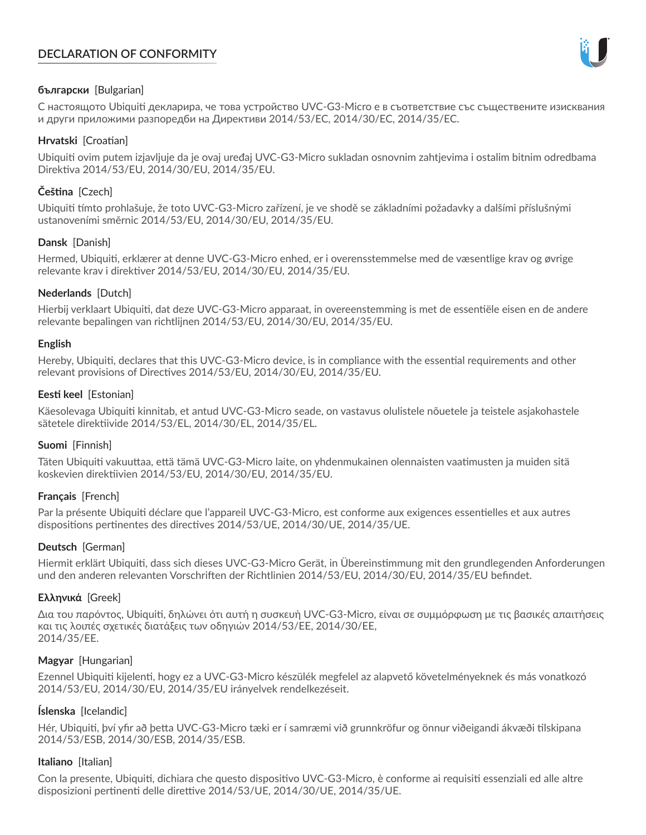# **DECLARATION OF CONFORMITY**



# **български** [Bulgarian]

С настоящото Ubiquiti декларира, че това устройство UVC-G3-Micro е в съответствие със съществените изисквания и други приложими разпоредби на Директиви 2014/53/EC, 2014/30/ЕС, 2014/35/ЕС.

## **Hrvatski** [Croatian]

Ubiquiti ovim putem izjavljuje da je ovaj uređaj UVC-G3-Micro sukladan osnovnim zahtjevima i ostalim bitnim odredbama Direktiva 2014/53/EU, 2014/30/EU, 2014/35/EU.

# **Čeština** [Czech]

Ubiquiti tímto prohlašuje, že toto UVC-G3-Micro zařízení, je ve shodě se základními požadavky a dalšími příslušnými ustanoveními směrnic 2014/53/EU, 2014/30/EU, 2014/35/EU.

# **Dansk** [Danish]

Hermed, Ubiquiti, erklærer at denne UVC-G3-Micro enhed, er i overensstemmelse med de væsentlige krav og øvrige relevante krav i direktiver 2014/53/EU, 2014/30/EU, 2014/35/EU.

# **Nederlands** [Dutch]

Hierbij verklaart Ubiquiti, dat deze UVC-G3-Micro apparaat, in overeenstemming is met de essentiële eisen en de andere relevante bepalingen van richtlijnen 2014/53/EU, 2014/30/EU, 2014/35/EU.

## **English**

Hereby, Ubiquiti, declares that this UVC-G3-Micro device, is in compliance with the essential requirements and other relevant provisions of Directives 2014/53/EU, 2014/30/EU, 2014/35/EU.

# **Eesti keel** [Estonian]

Käesolevaga Ubiquiti kinnitab, et antud UVC-G3-Micro seade, on vastavus olulistele nõuetele ja teistele asjakohastele sätetele direktiivide 2014/53/EL, 2014/30/EL, 2014/35/EL.

## **Suomi** [Finnish]

Täten Ubiquiti vakuuttaa, että tämä UVC-G3-Micro laite, on yhdenmukainen olennaisten vaatimusten ja muiden sitä koskevien direktiivien 2014/53/EU, 2014/30/EU, 2014/35/EU.

## **Français** [French]

Par la présente Ubiquiti déclare que l'appareil UVC-G3-Micro, est conforme aux exigences essentielles et aux autres dispositions pertinentes des directives 2014/53/UE, 2014/30/UE, 2014/35/UE.

## **Deutsch** [German]

Hiermit erklärt Ubiquiti, dass sich dieses UVC-G3-Micro Gerät, in Übereinstimmung mit den grundlegenden Anforderungen und den anderen relevanten Vorschriften der Richtlinien 2014/53/EU, 2014/30/EU, 2014/35/EU befindet.

## **Ελληνικά** [Greek]

Δια του παρόντος, Ubiquiti, δηλώνει ότι αυτή η συσκευή UVC-G3-Micro, είναι σε συμμόρφωση με τις βασικές απαιτήσεις και τις λοιπές σχετικές διατάξεις των οδηγιών 2014/53/EE, 2014/30/EE, 2014/35/EE.

## **Magyar** [Hungarian]

Ezennel Ubiquiti kijelenti, hogy ez a UVC-G3-Micro készülék megfelel az alapvető követelményeknek és más vonatkozó 2014/53/EU, 2014/30/EU, 2014/35/EU irányelvek rendelkezéseit.

## **Íslenska** [Icelandic]

Hér, Ubiquiti, því yfir að þetta UVC-G3-Micro tæki er í samræmi við grunnkröfur og önnur viðeigandi ákvæði tilskipana 2014/53/ESB, 2014/30/ESB, 2014/35/ESB.

## **Italiano** [Italian]

Con la presente, Ubiquiti, dichiara che questo dispositivo UVC-G3-Micro, è conforme ai requisiti essenziali ed alle altre disposizioni pertinenti delle direttive 2014/53/UE, 2014/30/UE, 2014/35/UE.